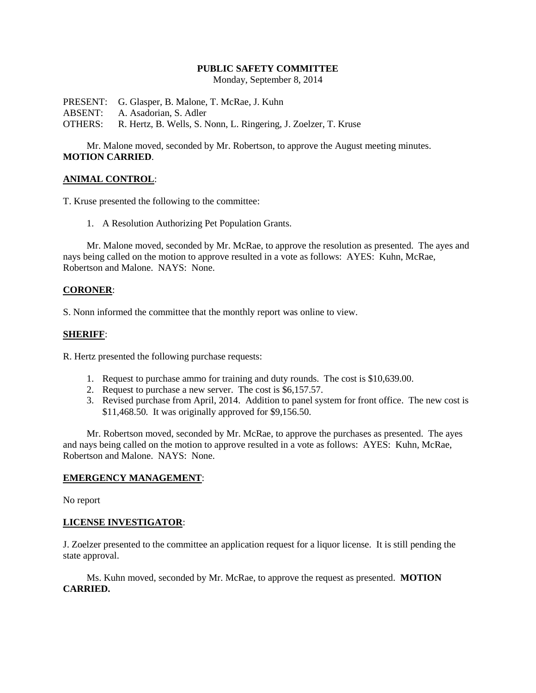### **PUBLIC SAFETY COMMITTEE**

Monday, September 8, 2014

PRESENT: G. Glasper, B. Malone, T. McRae, J. Kuhn ABSENT: A. Asadorian, S. Adler OTHERS: R. Hertz, B. Wells, S. Nonn, L. Ringering, J. Zoelzer, T. Kruse

Mr. Malone moved, seconded by Mr. Robertson, to approve the August meeting minutes. **MOTION CARRIED**.

# **ANIMAL CONTROL**:

T. Kruse presented the following to the committee:

1. A Resolution Authorizing Pet Population Grants.

Mr. Malone moved, seconded by Mr. McRae, to approve the resolution as presented. The ayes and nays being called on the motion to approve resulted in a vote as follows: AYES: Kuhn, McRae, Robertson and Malone. NAYS: None.

### **CORONER**:

S. Nonn informed the committee that the monthly report was online to view.

### **SHERIFF**:

R. Hertz presented the following purchase requests:

- 1. Request to purchase ammo for training and duty rounds. The cost is \$10,639.00.
- 2. Request to purchase a new server. The cost is \$6,157.57.
- 3. Revised purchase from April, 2014. Addition to panel system for front office. The new cost is \$11,468.50. It was originally approved for \$9,156.50.

Mr. Robertson moved, seconded by Mr. McRae, to approve the purchases as presented. The ayes and nays being called on the motion to approve resulted in a vote as follows: AYES: Kuhn, McRae, Robertson and Malone. NAYS: None.

#### **EMERGENCY MANAGEMENT**:

No report

# **LICENSE INVESTIGATOR**:

J. Zoelzer presented to the committee an application request for a liquor license. It is still pending the state approval.

Ms. Kuhn moved, seconded by Mr. McRae, to approve the request as presented. **MOTION CARRIED.**